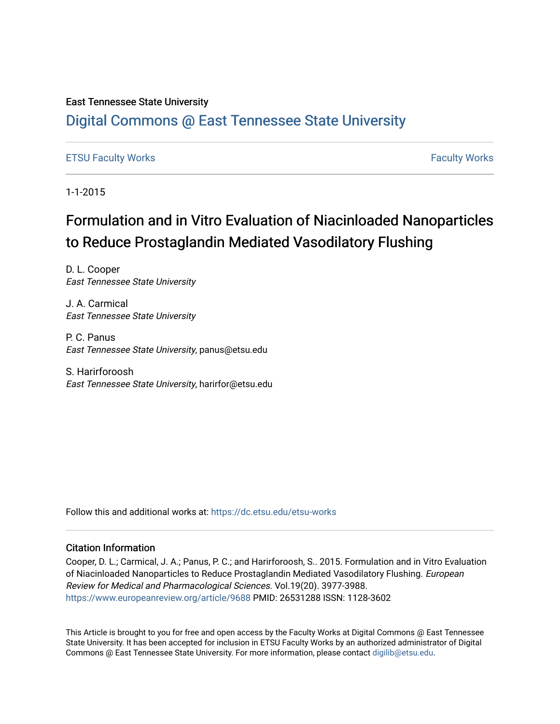# East Tennessee State University

# [Digital Commons @ East Tennessee State University](https://dc.etsu.edu/)

# [ETSU Faculty Works](https://dc.etsu.edu/etsu-works) [Faculty Works](https://dc.etsu.edu/faculty-works)

1-1-2015

# Formulation and in Vitro Evaluation of Niacinloaded Nanoparticles to Reduce Prostaglandin Mediated Vasodilatory Flushing

D. L. Cooper East Tennessee State University

J. A. Carmical East Tennessee State University

P. C. Panus East Tennessee State University, panus@etsu.edu

S. Harirforoosh East Tennessee State University, harirfor@etsu.edu

Follow this and additional works at: [https://dc.etsu.edu/etsu-works](https://dc.etsu.edu/etsu-works?utm_source=dc.etsu.edu%2Fetsu-works%2F15490&utm_medium=PDF&utm_campaign=PDFCoverPages) 

## Citation Information

Cooper, D. L.; Carmical, J. A.; Panus, P. C.; and Harirforoosh, S.. 2015. Formulation and in Vitro Evaluation of Niacinloaded Nanoparticles to Reduce Prostaglandin Mediated Vasodilatory Flushing. European Review for Medical and Pharmacological Sciences. Vol.19(20). 3977-3988. <https://www.europeanreview.org/article/9688> PMID: 26531288 ISSN: 1128-3602

This Article is brought to you for free and open access by the Faculty Works at Digital Commons @ East Tennessee State University. It has been accepted for inclusion in ETSU Faculty Works by an authorized administrator of Digital Commons @ East Tennessee State University. For more information, please contact [digilib@etsu.edu.](mailto:digilib@etsu.edu)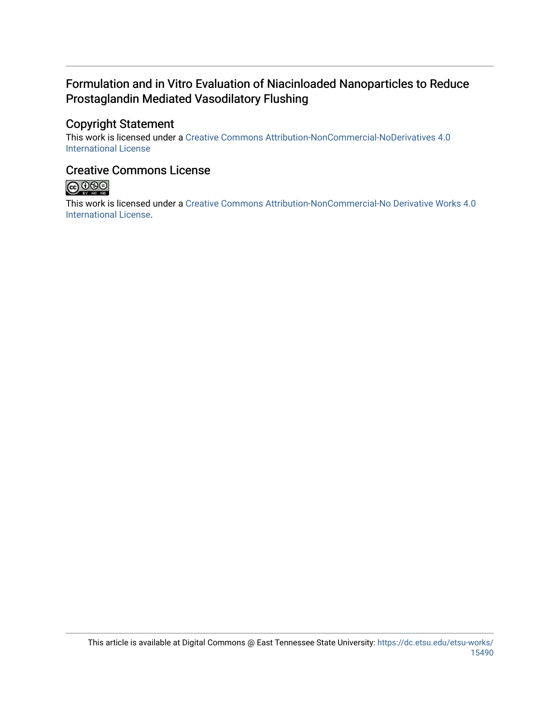# Formulation and in Vitro Evaluation of Niacinloaded Nanoparticles to Reduce Prostaglandin Mediated Vasodilatory Flushing

# Copyright Statement

This work is licensed under a [Creative Commons Attribution-NonCommercial-NoDerivatives 4.0](http://creativecommons.org/licenses/by-nc-nd/4.0/)  [International License](http://creativecommons.org/licenses/by-nc-nd/4.0/) 

# Creative Commons License



This work is licensed under a [Creative Commons Attribution-NonCommercial-No Derivative Works 4.0](https://creativecommons.org/licenses/by-nc-nd/4.0/)  [International License.](https://creativecommons.org/licenses/by-nc-nd/4.0/)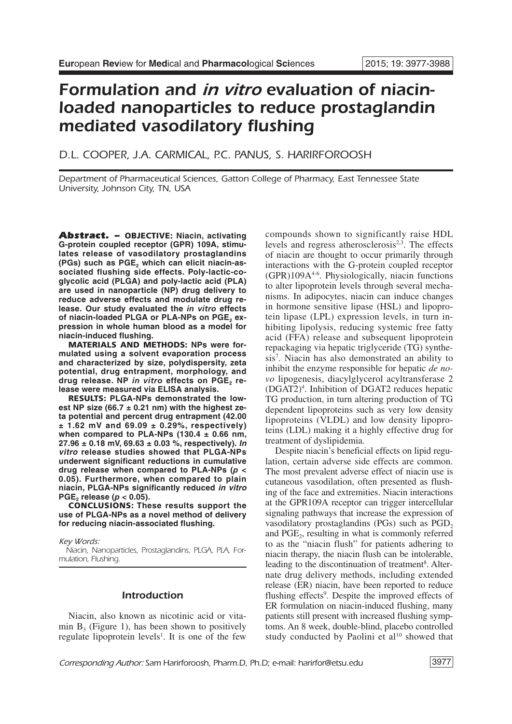# *Formulation and in vitro evaluation of niacinloaded nanoparticles to reduce prostaglandin mediated vasodilatory flushing*

# *D.L. COOPER, J.A. CARMICAL, P.C. PANUS, S. HARIRFOROOSH*

*Department of Pharmaceutical Sciences, Gatton College of Pharmacy, East Tennessee State University, Johnson City, TN, USA*

*Abstract. –* **OBJECTIVE: Niacin, activating G-protein coupled receptor (GPR) 109A, stimulates release of vasodilatory prostaglandins (PGs) such as PGE2 which can elicit niacin-associated flushing side effects. Poly-lactic-coglycolic acid (PLGA) and poly-lactic acid (PLA) are used in nanoparticle (NP) drug delivery to reduce adverse effects and modulate drug release. Our study evaluated the** *in vitro* **effects of** niacin-loaded PLGA or PLA-NPs on PGE<sub>2</sub> ex**pression in whole human blood as a model for niacin-induced flushing.**

**MATERIALS AND METHODS: NPs were formulated using a solvent evaporation process and characterized by size, polydispersity, zeta potential, drug entrapment, morphology, and** drug release. NP in vitro effects on PGE<sub>2</sub> re**lease were measured via ELISA analysis.**

**RESULTS: PLGA-NPs demonstrated the lowest NP size (66.7 ± 0.21 nm) with the highest zeta potential and percent drug entrapment (42.00 ± 1.62 mV and 69.09 ± 0.29%, respectively) when compared to PLA-NPs (130.4 ± 0.66 nm, 27.96 ± 0.18 mV, 69.63 ± 0.03 %, respectively).** *In vitro* **release studies showed that PLGA-NPs underwent significant reductions in cumulative drug release when compared to PLA-NPs (***p* **< 0.05). Furthermore, when compared to plain niacin, PLGA-NPs significantly reduced** *in vitro*  $PGE$ <sub>2</sub> **release** ( $p < 0.05$ ).

**CONCLUSIONS: These results support the use of PLGA-NPs as a novel method of delivery for reducing niacin-associated flushing.**

*Key Words:*

*Niacin, Nanoparticles, Prostaglandins, PLGA, PLA, Formulation, Flushing.*

#### *Introduction*

Niacin, also known as nicotinic acid or vitamin  $B_3$  (Figure 1), has been shown to positively regulate lipoprotein levels<sup>1</sup>. It is one of the few

compounds shown to significantly raise HDL levels and regress atherosclerosis<sup>2,3</sup>. The effects of niacin are thought to occur primarily through interactions with the G-protein coupled receptor (GPR)109A4-6 . Physiologically, niacin functions to alter lipoprotein levels through several mechanisms. In adipocytes, niacin can induce changes in hormone sensitive lipase (HSL) and lipoprotein lipase (LPL) expression levels, in turn inhibiting lipolysis, reducing systemic free fatty acid (FFA) release and subsequent lipoprotein repackaging via hepatic triglyceride (TG) synthesis7 . Niacin has also demonstrated an ability to inhibit the enzyme responsible for hepatic *de novo* lipogenesis, diacylglycerol acyltransferase 2 (DGAT2)4 . Inhibition of DGAT2 reduces hepatic TG production, in turn altering production of TG dependent lipoproteins such as very low density lipoproteins (VLDL) and low density lipoproteins (LDL) making it a highly effective drug for treatment of dyslipidemia.

Despite niacin's beneficial effects on lipid regulation, certain adverse side effects are common. The most prevalent adverse effect of niacin use is cutaneous vasodilation, often presented as flushing of the face and extremities. Niacin interactions at the GPR109A receptor can trigger intercellular signaling pathways that increase the expression of vasodilatory prostaglandins  $(PGs)$  such as  $PGD<sub>2</sub>$ and PGE<sub>2</sub>, resulting in what is commonly referred to as the "niacin flush" for patients adhering to niacin therapy, the niacin flush can be intolerable, leading to the discontinuation of treatment 8 . Alternate drug delivery methods, including extended release (ER) niacin, have been reported to reduce flushing effects<sup>9</sup>. Despite the improved effects of ER formulation on niacin-induced flushing, many patients still present with increased flushing symptoms. An 8 week, double-blind, placebo controlled study conducted by Paolini et al<sup>10</sup> showed that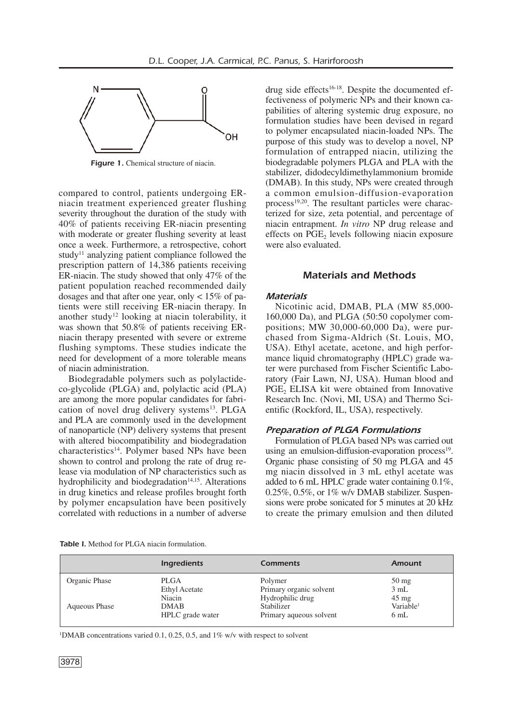

*Figure 1.* Chemical structure of niacin.

compared to control, patients undergoing ERniacin treatment experienced greater flushing severity throughout the duration of the study with 40% of patients receiving ER-niacin presenting with moderate or greater flushing severity at least once a week. Furthermore, a retrospective, cohort study<sup>11</sup> analyzing patient compliance followed the prescription pattern of 14,386 patients receiving ER-niacin. The study showed that only 47% of the patient population reached recommended daily dosages and that after one year, only  $< 15\%$  of patients were still receiving ER-niacin therapy. In another study<sup>12</sup> looking at niacin tolerability, it was shown that 50.8% of patients receiving ERniacin therapy presented with severe or extreme flushing symptoms. These studies indicate the need for development of a more tolerable means of niacin administration.

Biodegradable polymers such as polylactideco-glycolide (PLGA) and, polylactic acid (PLA) are among the more popular candidates for fabrication of novel drug delivery systems<sup>13</sup>. PLGA and PLA are commonly used in the development of nanoparticle (NP) delivery systems that present with altered biocompatibility and biodegradation characteristics<sup>14</sup>. Polymer based NPs have been shown to control and prolong the rate of drug release via modulation of NP characteristics such as hydrophilicity and biodegradation<sup>14,15</sup>. Alterations in drug kinetics and release profiles brought forth by polymer encapsulation have been positively correlated with reductions in a number of adverse

drug side effects<sup>16-18</sup>. Despite the documented effectiveness of polymeric NPs and their known capabilities of altering systemic drug exposure, no formulation studies have been devised in regard to polymer encapsulated niacin-loaded NPs. The purpose of this study was to develop a novel, NP formulation of entrapped niacin, utilizing the biodegradable polymers PLGA and PLA with the stabilizer, didodecyldimethylammonium bromide (DMAB). In this study, NPs were created through a common emulsion-diffusion-evaporation process<sup>19,20</sup>. The resultant particles were characterized for size, zeta potential, and percentage of niacin entrapment. *In vitro* NP drug release and effects on  $PGE$ <sub>2</sub> levels following niacin exposure were also evaluated.

#### *Materials and Methods*

#### *Materials*

Nicotinic acid, DMAB, PLA (MW 85,000- 160,000 Da), and PLGA (50:50 copolymer compositions; MW 30,000-60,000 Da), were purchased from Sigma-Aldrich (St. Louis, MO, USA). Ethyl acetate, acetone, and high performance liquid chromatography (HPLC) grade water were purchased from Fischer Scientific Laboratory (Fair Lawn, NJ, USA). Human blood and PGE<sub>2</sub> ELISA kit were obtained from Innovative Research Inc. (Novi, MI, USA) and Thermo Scientific (Rockford, IL, USA), respectively.

#### *Preparation of PLGA Formulations*

Formulation of PLGA based NPs was carried out using an emulsion-diffusion-evaporation process<sup>19</sup>. Organic phase consisting of 50 mg PLGA and 45 mg niacin dissolved in 3 mL ethyl acetate was added to 6 mL HPLC grade water containing 0.1%,  $0.25\%$ ,  $0.5\%$ , or  $1\%$  w/v DMAB stabilizer. Suspensions were probe sonicated for 5 minutes at 20 kHz to create the primary emulsion and then diluted

|  |  |  |  | <b>Table I.</b> Method for PLGA niacin formulation. |
|--|--|--|--|-----------------------------------------------------|
|--|--|--|--|-----------------------------------------------------|

|               | <b>Ingredients</b>   | <b>Comments</b>         | Amount                |
|---------------|----------------------|-------------------------|-----------------------|
| Organic Phase | PLGA                 | Polymer                 | $50 \text{ mg}$       |
|               | <b>Ethyl Acetate</b> | Primary organic solvent | 3 mL                  |
|               | Niacin               | Hydrophilic drug        | $45 \text{ mg}$       |
| Aqueous Phase | <b>DMAB</b>          | Stabilizer              | Variable <sup>1</sup> |
|               | HPLC grade water     | Primary aqueous solvent | 6mL                   |

<sup>1</sup>DMAB concentrations varied 0.1, 0.25, 0.5, and 1% w/v with respect to solvent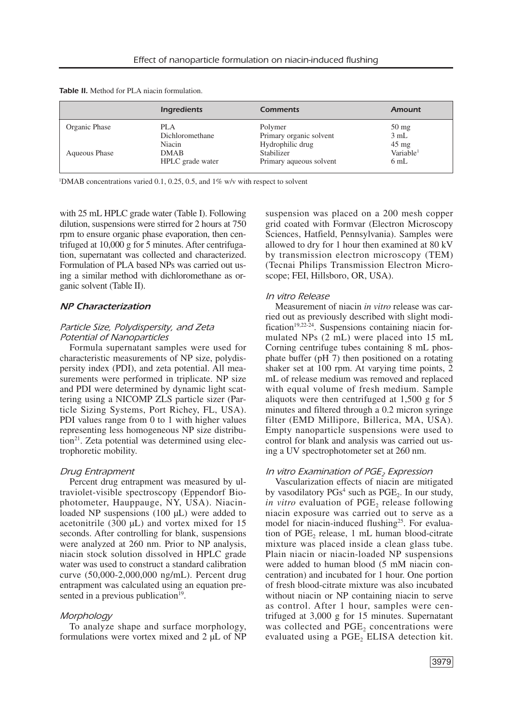| <b>Table II.</b> Method for PLA niacin formulation. |  |
|-----------------------------------------------------|--|
|-----------------------------------------------------|--|

|               | <b>Ingredients</b> | <b>Comments</b>         | <b>Amount</b>         |
|---------------|--------------------|-------------------------|-----------------------|
| Organic Phase | PLA                | Polymer                 | $50 \text{ mg}$       |
|               | Dichloromethane    | Primary organic solvent | 3 mL                  |
|               | Niacin             | Hydrophilic drug        | $45 \text{ mg}$       |
| Aqueous Phase | <b>DMAB</b>        | Stabilizer              | Variable <sup>1</sup> |
|               | HPLC grade water   | Primary aqueous solvent | 6mL                   |

<sup>1</sup>DMAB concentrations varied 0.1, 0.25, 0.5, and 1% w/v with respect to solvent

with 25 mL HPLC grade water (Table I). Following dilution, suspensions were stirred for 2 hours at 750 rpm to ensure organic phase evaporation, then centrifuged at 10,000 g for 5 minutes. After centrifugation, supernatant was collected and characterized. Formulation of PLA based NPs was carried out using a similar method with dichloromethane as organic solvent (Table II).

#### *NP Characterization*

#### *Particle Size, Polydispersity, and Zeta Potential of Nanoparticles*

Formula supernatant samples were used for characteristic measurements of NP size, polydispersity index (PDI), and zeta potential. All measurements were performed in triplicate. NP size and PDI were determined by dynamic light scattering using a NICOMP ZLS particle sizer (Particle Sizing Systems, Port Richey, FL, USA). PDI values range from 0 to 1 with higher values representing less homogeneous NP size distribution<sup>21</sup>. Zeta potential was determined using electrophoretic mobility.

#### *Drug Entrapment*

Percent drug entrapment was measured by ultraviolet-visible spectroscopy (Eppendorf Biophotometer, Hauppauge, NY, USA). Niacinloaded NP suspensions (100 µL) were added to acetonitrile (300 µL) and vortex mixed for 15 seconds. After controlling for blank, suspensions were analyzed at 260 nm. Prior to NP analysis, niacin stock solution dissolved in HPLC grade water was used to construct a standard calibration curve (50,000-2,000,000 ng/mL). Percent drug entrapment was calculated using an equation presented in a previous publication<sup>19</sup>.

#### *Morphology*

To analyze shape and surface morphology, formulations were vortex mixed and 2 µL of NP suspension was placed on a 200 mesh copper grid coated with Formvar (Electron Microscopy Sciences, Hatfield, Pennsylvania). Samples were allowed to dry for 1 hour then examined at 80 kV by transmission electron microscopy (TEM) (Tecnai Philips Transmission Electron Microscope; FEI, Hillsboro, OR, USA).

#### *In vitro Release*

Measurement of niacin *in vitro* release was carried out as previously described with slight modification<sup>19,22-24</sup>. Suspensions containing niacin formulated NPs (2 mL) were placed into 15 mL Corning centrifuge tubes containing 8 mL phosphate buffer (pH 7) then positioned on a rotating shaker set at 100 rpm. At varying time points, 2 mL of release medium was removed and replaced with equal volume of fresh medium. Sample aliquots were then centrifuged at 1,500 g for 5 minutes and filtered through a 0.2 micron syringe filter (EMD Millipore, Billerica, MA, USA). Empty nanoparticle suspensions were used to control for blank and analysis was carried out using a UV spectrophotometer set at 260 nm.

#### *In* vitro *Examination* of *PGE<sub>2</sub> Expression*

Vascularization effects of niacin are mitigated by vasodilatory  $PGs<sup>4</sup>$  such as  $PGE<sub>2</sub>$ . In our study, *in vitro* evaluation of PGE<sub>2</sub> release following niacin exposure was carried out to serve as a model for niacin-induced flushing<sup>25</sup>. For evaluation of PGE<sub>2</sub> release,  $1 \text{ mL human blood-citrate}$ mixture was placed inside a clean glass tube. Plain niacin or niacin-loaded NP suspensions were added to human blood (5 mM niacin concentration) and incubated for 1 hour. One portion of fresh blood-citrate mixture was also incubated without niacin or NP containing niacin to serve as control. After 1 hour, samples were centrifuged at 3,000 g for 15 minutes. Supernatant was collected and PGE<sub>2</sub> concentrations were evaluated using a PGE<sub>2</sub> ELISA detection kit.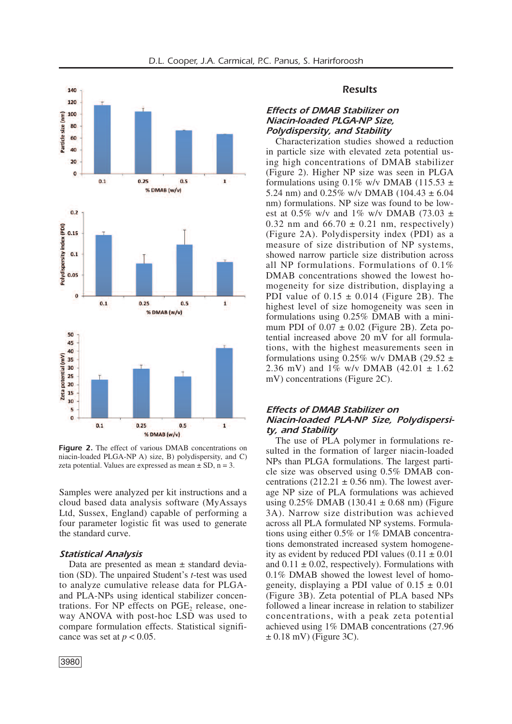



*Figure 2.* The effect of various DMAB concentrations on niacin-loaded PLGA-NP A) size, B) polydispersity, and C) zeta potential. Values are expressed as mean  $\pm$  SD, n = 3.

Samples were analyzed per kit instructions and a cloud based data analysis software (MyAssays Ltd, Sussex, England) capable of performing a four parameter logistic fit was used to generate the standard curve.

#### *Statistical Analysis*

Data are presented as mean  $\pm$  standard deviation (SD). The unpaired Student's *t*-test was used to analyze cumulative release data for PLGAand PLA-NPs using identical stabilizer concentrations. For NP effects on PGE<sub>2</sub> release, oneway ANOVA with post-hoc LSD was used to compare formulation effects. Statistical significance was set at  $p < 0.05$ .

### *Results*

# *Effects of DMAB Stabilizer on Niacin-loaded PLGA-NP Size, Polydispersity, and Stability*

Characterization studies showed a reduction in particle size with elevated zeta potential using high concentrations of DMAB stabilizer (Figure 2). Higher NP size was seen in PLGA formulations using 0.1% w/v DMAB (115.53  $\pm$ 5.24 nm) and  $0.25\%$  w/v DMAB (104.43  $\pm$  6.04 nm) formulations. NP size was found to be lowest at 0.5% w/v and 1% w/v DMAB (73.03  $\pm$ 0.32 nm and  $66.70 \pm 0.21$  nm, respectively) (Figure 2A). Polydispersity index (PDI) as a measure of size distribution of NP systems, showed narrow particle size distribution across all NP formulations. Formulations of 0.1% DMAB concentrations showed the lowest homogeneity for size distribution, displaying a PDI value of  $0.15 \pm 0.014$  (Figure 2B). The highest level of size homogeneity was seen in formulations using 0.25% DMAB with a minimum PDI of  $0.07 \pm 0.02$  (Figure 2B). Zeta potential increased above 20 mV for all formulations, with the highest measurements seen in formulations using  $0.25\%$  w/v DMAB (29.52  $\pm$ 2.36 mV) and  $1\%$  w/v DMAB  $(42.01 \pm 1.62)$ mV) concentrations (Figure 2C).

### *Effects of DMAB Stabilizer on Niacin-loaded PLA-NP Size, Polydispersity, and Stability*

The use of PLA polymer in formulations resulted in the formation of larger niacin-loaded NPs than PLGA formulations. The largest particle size was observed using 0.5% DMAB concentrations  $(212.21 \pm 0.56 \text{ nm})$ . The lowest average NP size of PLA formulations was achieved using  $0.25\%$  DMAB (130.41  $\pm$  0.68 nm) (Figure 3A). Narrow size distribution was achieved across all PLA formulated NP systems. Formulations using either 0.5% or 1% DMAB concentrations demonstrated increased system homogeneity as evident by reduced PDI values  $(0.11 \pm 0.01)$ and  $0.11 \pm 0.02$ , respectively). Formulations with 0.1% DMAB showed the lowest level of homogeneity, displaying a PDI value of  $0.15 \pm 0.01$ (Figure 3B). Zeta potential of PLA based NPs followed a linear increase in relation to stabilizer concentrations, with a peak zeta potential achieved using 1% DMAB concentrations (27.96  $\pm$  0.18 mV) (Figure 3C).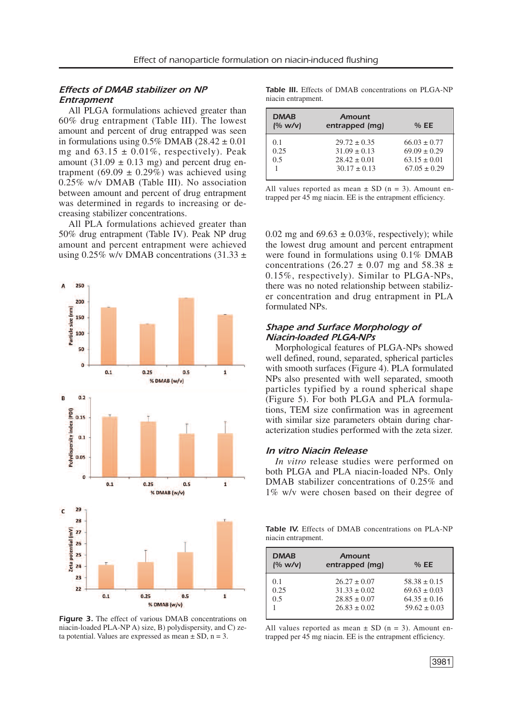# *Effects of DMAB stabilizer on NP Entrapment*

All PLGA formulations achieved greater than 60% drug entrapment (Table III). The lowest amount and percent of drug entrapped was seen in formulations using  $0.5\%$  DMAB ( $28.42 \pm 0.01$ ) mg and  $63.15 \pm 0.01\%$ , respectively). Peak amount  $(31.09 \pm 0.13 \text{ mg})$  and percent drug entrapment (69.09  $\pm$  0.29%) was achieved using 0.25% w/v DMAB (Table III). No association between amount and percent of drug entrapment was determined in regards to increasing or decreasing stabilizer concentrations.

All PLA formulations achieved greater than 50% drug entrapment (Table IV). Peak NP drug amount and percent entrapment were achieved using 0.25% w/v DMAB concentrations  $(31.33 \pm$ 



*Figure 3.* The effect of various DMAB concentrations on niacin-loaded PLA-NP A) size, B) polydispersity, and C) zeta potential. Values are expressed as mean  $\pm$  SD, n = 3.

*Table III.* Effects of DMAB concentrations on PLGA-NP niacin entrapment.

| <b>DMAB</b><br>(% w/v) | Amount<br>entrapped (mq) | %EE              |
|------------------------|--------------------------|------------------|
| 0.1                    | $29.72 \pm 0.35$         | $66.03 \pm 0.77$ |
| 0.25                   | $31.09 \pm 0.13$         | $69.09 \pm 0.29$ |
| 0.5                    | $28.42 \pm 0.01$         | $63.15 \pm 0.01$ |
|                        | $30.17 \pm 0.13$         | $67.05 \pm 0.29$ |
|                        |                          |                  |

All values reported as mean  $\pm$  SD (n = 3). Amount entrapped per 45 mg niacin. EE is the entrapment efficiency.

0.02 mg and  $69.63 \pm 0.03\%$ , respectively); while the lowest drug amount and percent entrapment were found in formulations using 0.1% DMAB concentrations (26.27  $\pm$  0.07 mg and 58.38  $\pm$ 0.15%, respectively). Similar to PLGA-NPs, there was no noted relationship between stabilizer concentration and drug entrapment in PLA formulated NPs.

# *Shape and Surface Morphology of Niacin-loaded PLGA-NPs*

Morphological features of PLGA-NPs showed well defined, round, separated, spherical particles with smooth surfaces (Figure 4). PLA formulated NPs also presented with well separated, smooth particles typified by a round spherical shape (Figure 5). For both PLGA and PLA formulations, TEM size confirmation was in agreement with similar size parameters obtain during characterization studies performed with the zeta sizer.

#### *In vitro Niacin Release*

*In vitro* release studies were performed on both PLGA and PLA niacin-loaded NPs. Only DMAB stabilizer concentrations of 0.25% and 1% w/v were chosen based on their degree of

*Table IV.* Effects of DMAB concentrations on PLA-NP niacin entrapment.

| <b>DMAB</b><br>(% w/v) | Amount<br>entrapped (mq)                                 | %EE                                                      |
|------------------------|----------------------------------------------------------|----------------------------------------------------------|
| 0.1<br>0.25<br>0.5     | $26.27 \pm 0.07$<br>$31.33 \pm 0.02$<br>$28.85 \pm 0.07$ | $58.38 \pm 0.15$<br>$69.63 \pm 0.03$<br>$64.35 \pm 0.16$ |
|                        | $26.83 + 0.02$                                           | $59.62 \pm 0.03$                                         |

All values reported as mean  $\pm$  SD (n = 3). Amount entrapped per 45 mg niacin. EE is the entrapment efficiency.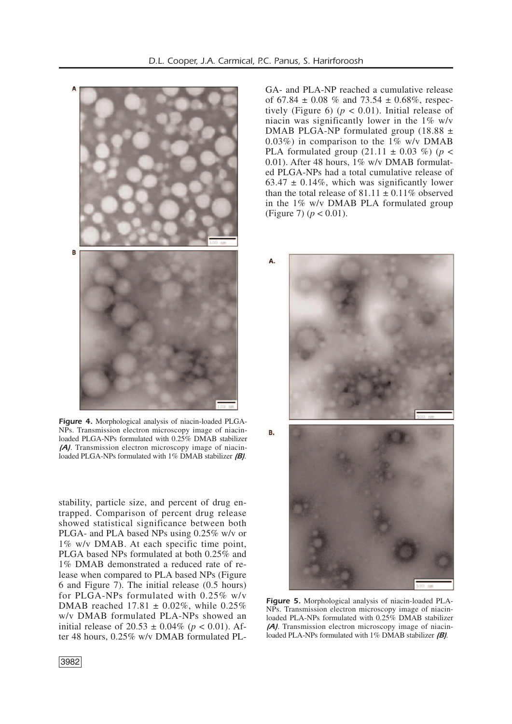

*Figure 4.* Morphological analysis of niacin-loaded PLGA-NPs. Transmission electron microscopy image of niacinloaded PLGA-NPs formulated with 0.25% DMAB stabilizer *(A)*. Transmission electron microscopy image of niacinloaded PLGA-NPs formulated with 1% DMAB stabilizer *(B)*.

stability, particle size, and percent of drug entrapped. Comparison of percent drug release showed statistical significance between both PLGA- and PLA based NPs using 0.25% w/v or 1% w/v DMAB. At each specific time point, PLGA based NPs formulated at both 0.25% and 1% DMAB demonstrated a reduced rate of release when compared to PLA based NPs (Figure 6 and Figure 7). The initial release (0.5 hours) for PLGA-NPs formulated with 0.25% w/v DMAB reached  $17.81 \pm 0.02\%$ , while 0.25% w/v DMAB formulated PLA-NPs showed an initial release of  $20.53 \pm 0.04\%$  ( $p < 0.01$ ). After 48 hours, 0.25% w/v DMAB formulated PL-

GA- and PLA-NP reached a cumulative release of  $67.84 \pm 0.08$  % and  $73.54 \pm 0.68$ %, respectively (Figure 6) ( $p < 0.01$ ). Initial release of niacin was significantly lower in the  $1\%$  w/v DMAB PLGA-NP formulated group (18.88 ± 0.03%) in comparison to the  $1\%$  w/v DMAB PLA formulated group  $(21.11 \pm 0.03 \%)$  (*p* < 0.01). After 48 hours, 1% w/v DMAB formulated PLGA-NPs had a total cumulative release of 63.47  $\pm$  0.14%, which was significantly lower than the total release of  $81.11 \pm 0.11\%$  observed in the 1% w/v DMAB PLA formulated group (Figure 7) (*p* < 0.01).



*Figure 5.* Morphological analysis of niacin-loaded PLA-NPs. Transmission electron microscopy image of niacinloaded PLA-NPs formulated with 0.25% DMAB stabilizer *(A)*. Transmission electron microscopy image of niacinloaded PLA-NPs formulated with 1% DMAB stabilizer *(B)*.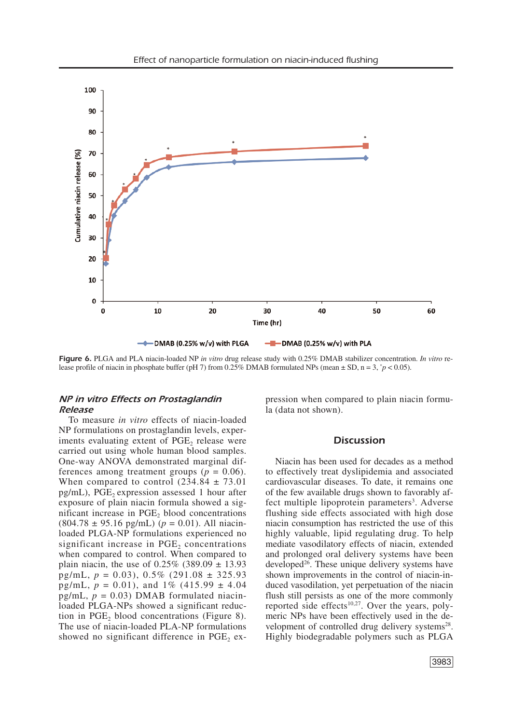

*Figure 6.* PLGA and PLA niacin-loaded NP *in vitro* drug release study with 0.25% DMAB stabilizer concentration. *In vitro* release profile of niacin in phosphate buffer (pH 7) from 0.25% DMAB formulated NPs (mean  $\pm$  SD, n = 3,  $\gamma$   $\approx$  0.05).

# *NP in vitro Effects on Prostaglandin Release*

To measure *in vitro* effects of niacin-loaded NP formulations on prostaglandin levels, experiments evaluating extent of PGE<sub>2</sub> release were carried out using whole human blood samples. One-way ANOVA demonstrated marginal differences among treatment groups  $(p = 0.06)$ . When compared to control  $(234.84 \pm 73.01)$  $pg/mL$ ), PGE<sub>2</sub> expression assessed 1 hour after exposure of plain niacin formula showed a significant increase in PGE<sub>2</sub> blood concentrations  $(804.78 \pm 95.16 \text{ pg/mL})$  ( $p = 0.01$ ). All niacinloaded PLGA-NP formulations experienced no significant increase in  $PGE<sub>2</sub>$  concentrations when compared to control. When compared to plain niacin, the use of  $0.25\%$  (389.09  $\pm$  13.93 pg/mL, *p* = 0.03), 0.5% (291.08 ± 325.93 pg/mL,  $p = 0.01$ ), and  $1\%$  (415.99  $\pm$  4.04 pg/mL,  $p = 0.03$ ) DMAB formulated niacinloaded PLGA-NPs showed a significant reduction in PGE, blood concentrations (Figure 8). The use of niacin-loaded PLA-NP formulations showed no significant difference in PGE<sub>2</sub> expression when compared to plain niacin formula (data not shown).

## *Discussion*

Niacin has been used for decades as a method to effectively treat dyslipidemia and associated cardiovascular diseases. To date, it remains one of the few available drugs shown to favorably affect multiple lipoprotein parameters<sup>3</sup>. Adverse flushing side effects associated with high dose niacin consumption has restricted the use of this highly valuable, lipid regulating drug. To help mediate vasodilatory effects of niacin, extended and prolonged oral delivery systems have been developed<sup>26</sup>. These unique delivery systems have shown improvements in the control of niacin-induced vasodilation, yet perpetuation of the niacin flush still persists as one of the more commonly reported side effects $10,27$ . Over the years, polymeric NPs have been effectively used in the development of controlled drug delivery systems<sup>28</sup>. Highly biodegradable polymers such as PLGA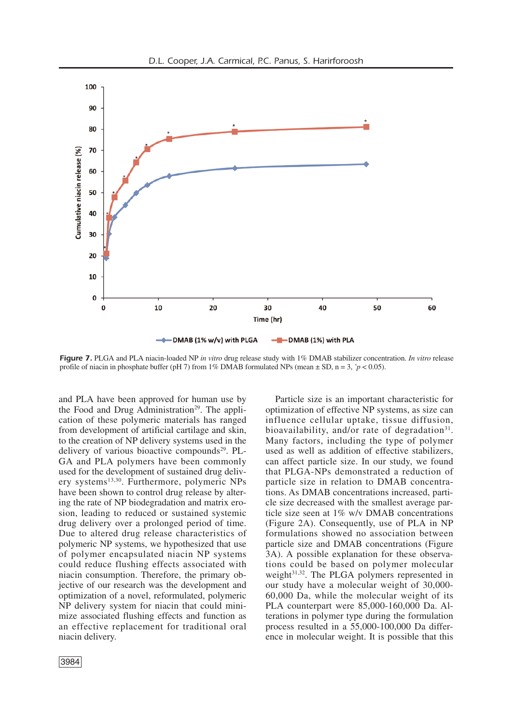

*Figure 7.* PLGA and PLA niacin-loaded NP *in vitro* drug release study with 1% DMAB stabilizer concentration. *In vitro* release profile of niacin in phosphate buffer (pH 7) from 1% DMAB formulated NPs (mean  $\pm$  SD, n = 3,  $\gamma$   $\approx$  0.05).

and PLA have been approved for human use by the Food and Drug Administration<sup>29</sup>. The application of these polymeric materials has ranged from development of artificial cartilage and skin, to the creation of NP delivery systems used in the delivery of various bioactive compounds<sup>29</sup>. PL-GA and PLA polymers have been commonly used for the development of sustained drug delivery systems<sup>13,30</sup>. Furthermore, polymeric NPs have been shown to control drug release by altering the rate of NP biodegradation and matrix erosion, leading to reduced or sustained systemic drug delivery over a prolonged period of time. Due to altered drug release characteristics of polymeric NP systems, we hypothesized that use of polymer encapsulated niacin NP systems could reduce flushing effects associated with niacin consumption. Therefore, the primary objective of our research was the development and optimization of a novel, reformulated, polymeric NP delivery system for niacin that could minimize associated flushing effects and function as an effective replacement for traditional oral niacin delivery.

Particle size is an important characteristic for optimization of effective NP systems, as size can influence cellular uptake, tissue diffusion, bioavailability, and/or rate of degradation<sup>31</sup>. Many factors, including the type of polymer used as well as addition of effective stabilizers, can affect particle size. In our study, we found that PLGA-NPs demonstrated a reduction of particle size in relation to DMAB concentrations. As DMAB concentrations increased, particle size decreased with the smallest average particle size seen at 1% w/v DMAB concentrations (Figure 2A). Consequently, use of PLA in NP formulations showed no association between particle size and DMAB concentrations (Figure 3A). A possible explanation for these observations could be based on polymer molecular weight 31,32 . The PLGA polymers represented in our study have a molecular weight of 30,000- 60,000 Da, while the molecular weight of its PLA counterpart were 85,000-160,000 Da. Alterations in polymer type during the formulation process resulted in a 55,000-100,000 Da difference in molecular weight. It is possible that this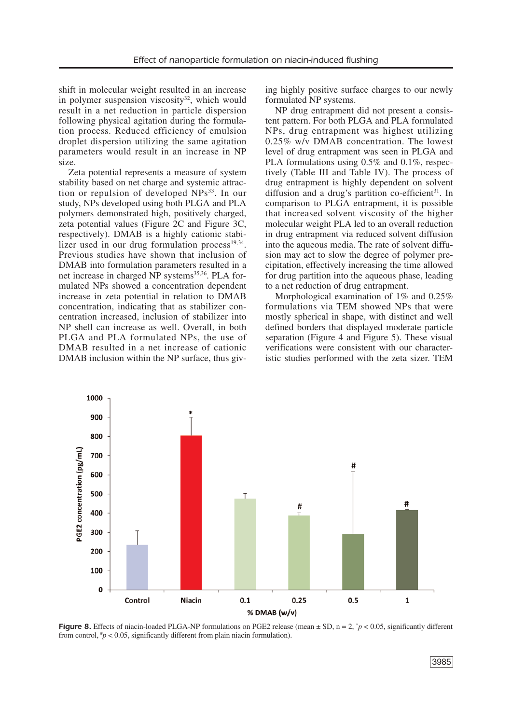shift in molecular weight resulted in an increase in polymer suspension viscosity<sup>32</sup>, which would result in a net reduction in particle dispersion following physical agitation during the formulation process. Reduced efficiency of emulsion droplet dispersion utilizing the same agitation parameters would result in an increase in NP size.

Zeta potential represents a measure of system stability based on net charge and systemic attraction or repulsion of developed NPs<sup>33</sup>. In our study, NPs developed using both PLGA and PLA polymers demonstrated high, positively charged, zeta potential values (Figure 2C and Figure 3C, respectively). DMAB is a highly cationic stabilizer used in our drug formulation process $19,34$ . Previous studies have shown that inclusion of DMAB into formulation parameters resulted in a net increase in charged NP systems<sup>35,36</sup>. PLA formulated NPs showed a concentration dependent increase in zeta potential in relation to DMAB concentration, indicating that as stabilizer concentration increased, inclusion of stabilizer into NP shell can increase as well. Overall, in both PLGA and PLA formulated NPs, the use of DMAB resulted in a net increase of cationic DMAB inclusion within the NP surface, thus giving highly positive surface charges to our newly formulated NP systems.

NP drug entrapment did not present a consistent pattern. For both PLGA and PLA formulated NPs, drug entrapment was highest utilizing 0.25% w/v DMAB concentration. The lowest level of drug entrapment was seen in PLGA and PLA formulations using 0.5% and 0.1%, respectively (Table III and Table IV). The process of drug entrapment is highly dependent on solvent diffusion and a drug's partition co-efficient<sup>31</sup>. In comparison to PLGA entrapment, it is possible that increased solvent viscosity of the higher molecular weight PLA led to an overall reduction in drug entrapment via reduced solvent diffusion into the aqueous media. The rate of solvent diffusion may act to slow the degree of polymer precipitation, effectively increasing the time allowed for drug partition into the aqueous phase, leading to a net reduction of drug entrapment.

Morphological examination of 1% and 0.25% formulations via TEM showed NPs that were mostly spherical in shape, with distinct and well defined borders that displayed moderate particle separation (Figure 4 and Figure 5). These visual verifications were consistent with our characteristic studies performed with the zeta sizer. TEM



**Figure 8.** Effects of niacin-loaded PLGA-NP formulations on PGE2 release (mean  $\pm$  SD, n = 2,  $^*p$  < 0.05, significantly different from control,  $\frac{h}{p}$  < 0.05, significantly different from plain niacin formulation).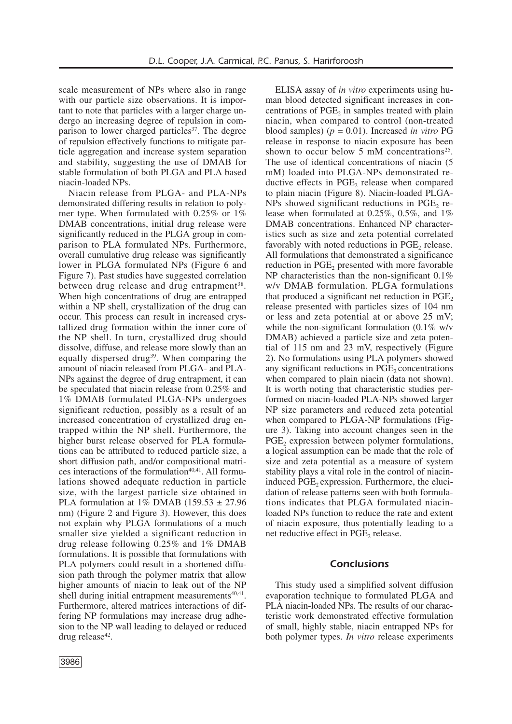scale measurement of NPs where also in range with our particle size observations. It is important to note that particles with a larger charge undergo an increasing degree of repulsion in comparison to lower charged particles<sup>37</sup>. The degree of repulsion effectively functions to mitigate particle aggregation and increase system separation and stability, suggesting the use of DMAB for stable formulation of both PLGA and PLA based niacin-loaded NPs.

Niacin release from PLGA- and PLA-NPs demonstrated differing results in relation to polymer type. When formulated with 0.25% or 1% DMAB concentrations, initial drug release were significantly reduced in the PLGA group in comparison to PLA formulated NPs. Furthermore, overall cumulative drug release was significantly lower in PLGA formulated NPs (Figure 6 and Figure 7). Past studies have suggested correlation between drug release and drug entrapment<sup>38</sup>. When high concentrations of drug are entrapped within a NP shell, crystallization of the drug can occur. This process can result in increased crystallized drug formation within the inner core of the NP shell. In turn, crystallized drug should dissolve, diffuse, and release more slowly than an equally dispersed drug<sup>39</sup>. When comparing the amount of niacin released from PLGA- and PLA-NPs against the degree of drug entrapment, it can be speculated that niacin release from 0.25% and 1% DMAB formulated PLGA-NPs undergoes significant reduction, possibly as a result of an increased concentration of crystallized drug entrapped within the NP shell. Furthermore, the higher burst release observed for PLA formulations can be attributed to reduced particle size, a short diffusion path, and/or compositional matri $ces$  interactions of the formulation<sup> $40,41$ </sup>. All formulations showed adequate reduction in particle size, with the largest particle size obtained in PLA formulation at  $1\%$  DMAB (159.53  $\pm$  27.96 nm) (Figure 2 and Figure 3). However, this does not explain why PLGA formulations of a much smaller size yielded a significant reduction in drug release following 0.25% and 1% DMAB formulations. It is possible that formulations with PLA polymers could result in a shortened diffusion path through the polymer matrix that allow higher amounts of niacin to leak out of the NP shell during initial entrapment measurements<sup>40,41</sup>. Furthermore, altered matrices interactions of differing NP formulations may increase drug adhesion to the NP wall leading to delayed or reduced drug release<sup>42</sup>.

ELISA assay of *in vitro* experiments using human blood detected significant increases in concentrations of  $PGE<sub>2</sub>$  in samples treated with plain niacin, when compared to control (non-treated blood samples)  $(p = 0.01)$ . Increased *in vitro* PG release in response to niacin exposure has been shown to occur below 5 mM concentrations<sup>25</sup>. The use of identical concentrations of niacin (5 mM) loaded into PLGA-NPs demonstrated reductive effects in  $PGE<sub>2</sub>$  release when compared to plain niacin (Figure 8). Niacin-loaded PLGA- $NPs$  showed significant reductions in PGE<sub>2</sub> release when formulated at 0.25%, 0.5%, and 1% DMAB concentrations. Enhanced NP characteristics such as size and zeta potential correlated favorably with noted reductions in  $PGE<sub>2</sub>$  release. All formulations that demonstrated a significance reduction in PGE<sub>2</sub> presented with more favorable NP characteristics than the non-significant  $0.1\%$ w/v DMAB formulation. PLGA formulations that produced a significant net reduction in  $PGE<sub>2</sub>$ release presented with particles sizes of 104 nm or less and zeta potential at or above 25 mV; while the non-significant formulation  $(0.1\%$  w/v DMAB) achieved a particle size and zeta potential of 115 nm and 23 mV, respectively (Figure 2). No formulations using PLA polymers showed any significant reductions in  $PGE<sub>2</sub>$  concentrations when compared to plain niacin (data not shown). It is worth noting that characteristic studies performed on niacin-loaded PLA-NPs showed larger NP size parameters and reduced zeta potential when compared to PLGA-NP formulations (Figure 3). Taking into account changes seen in the PGE<sub>2</sub> expression between polymer formulations, a logical assumption can be made that the role of size and zeta potential as a measure of system stability plays a vital role in the control of niacininduced PGE<sub>2</sub> expression. Furthermore, the elucidation of release patterns seen with both formulations indicates that PLGA formulated niacinloaded NPs function to reduce the rate and extent of niacin exposure, thus potentially leading to a net reductive effect in PGE<sub>2</sub> release.

## *Conclusions*

This study used a simplified solvent diffusion evaporation technique to formulated PLGA and PLA niacin-loaded NPs. The results of our characteristic work demonstrated effective formulation of small, highly stable, niacin entrapped NPs for both polymer types. *In vitro* release experiments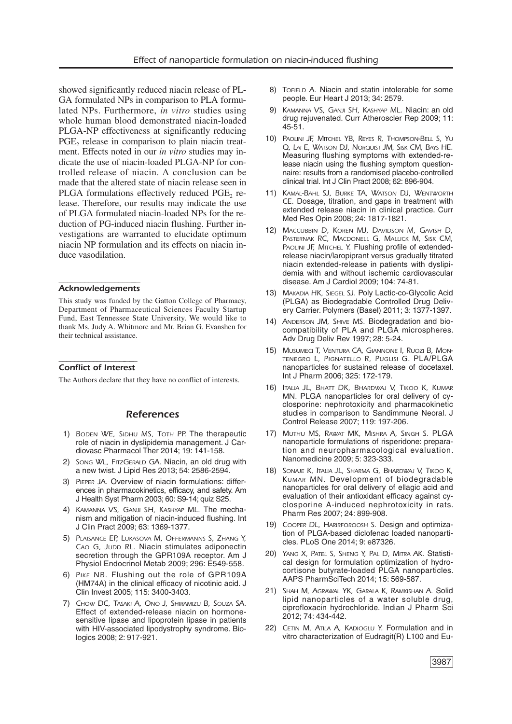showed significantly reduced niacin release of PL-GA formulated NPs in comparison to PLA formulated NPs. Furthermore, *in vitro* studies using whole human blood demonstrated niacin-loaded PLGA-NP effectiveness at significantly reducing PGE<sub>2</sub> release in comparison to plain niacin treatment. Effects noted in our *in vitro* studies may indicate the use of niacin-loaded PLGA-NP for controlled release of niacin. A conclusion can be made that the altered state of niacin release seen in PLGA formulations effectively reduced PGE<sub>2</sub> release. Therefore, our results may indicate the use of PLGA formulated niacin-loaded NPs for the reduction of PG-induced niacin flushing. Further investigations are warranted to elucidate optimum niacin NP formulation and its effects on niacin induce vasodilation.

#### ––––––––––––––––––– *Acknowledgements*

This study was funded by the Gatton College of Pharmacy, Department of Pharmaceutical Sciences Faculty Startup Fund, East Tennessee State University. We would like to thank Ms. Judy A. Whitmore and Mr. Brian G. Evanshen for their technical assistance.

#### –––––––––––––––––-––– *Conflict of Interest*

The Authors declare that they have no conflict of interests.

#### *References*

- 1) *BODEN WE, SIDHU MS, TOTH PP.* The therapeutic role of niacin in dyslipidemia management. J Cardiovasc Pharmacol Ther 2014; 19: 141-158.
- 2) *SONG WL, FITZGERALD GA.* Niacin, an old drug with a new twist. J Lipid Res 2013; 54: 2586-2594.
- 3) *PIEPER JA.* Overview of niacin formulations: differences in pharmacokinetics, efficacy, and safety. Am J Health Syst Pharm 2003; 60: S9-14; quiz S25.
- 4) *KAMANNA VS, GANJI SH, KASHYAP ML.* The mechanism and mitigation of niacin-induced flushing. Int J Clin Pract 2009; 63: 1369-1377.
- 5) *PLAISANCE EP, LUKASOVA M, OFFERMANNS S, ZHANG Y, CAO G, JUDD RL.* Niacin stimulates adiponectin secretion through the GPR109A receptor. Am J Physiol Endocrinol Metab 2009; 296: E549-558.
- 6) *PIKE NB.* Flushing out the role of GPR109A (HM74A) in the clinical efficacy of nicotinic acid. J Clin Invest 2005; 115: 3400-3403.
- 7) *CHOW DC, TASAKI A, ONO J, SHIRAMIZU B, SOUZA SA.* Effect of extended-release niacin on hormonesensitive lipase and lipoprotein lipase in patients with HIV-associated lipodystrophy syndrome. Biologics 2008; 2: 917-921.
- 8) *TOFIELD A.* Niacin and statin intolerable for some people. Eur Heart J 2013; 34: 2579.
- 9) *KAMANNA VS, GANJI SH, KASHYAP ML.* Niacin: an old drug rejuvenated. Curr Atheroscler Rep 2009; 11: 45-51.
- 10) *PAOLINI JF, MITCHEL YB, REYES R, THOMPSON-BELL S, YU Q, LAI E, WATSON DJ, NORQUIST JM, SISK CM, BAYS HE.* Measuring flushing symptoms with extended-release niacin using the flushing symptom questionnaire: results from a randomised placebo-controlled clinical trial. Int J Clin Pract 2008; 62: 896-904.
- 11) *KAMAL-BAHL SJ, BURKE TA, WATSON DJ, WENTWORTH CE.* Dosage, titration, and gaps in treatment with extended release niacin in clinical practice. Curr Med Res Opin 2008; 24: 1817-1821.
- 12) *MACCUBBIN D, KOREN MJ, DAVIDSON M, GAVISH D, PASTERNAK RC, MACDONELL G, MALLICK M, SISK CM, PAOLINI JF, MITCHEL Y.* Flushing profile of extendedrelease niacin/laropiprant versus gradually titrated niacin extended-release in patients with dyslipidemia with and without ischemic cardiovascular disease. Am J Cardiol 2009; 104: 74-81.
- 13) *MAKADIA HK, SIEGEL SJ.* Poly Lactic-co-Glycolic Acid (PLGA) as Biodegradable Controlled Drug Delivery Carrier. Polymers (Basel) 2011; 3: 1377-1397.
- 14) *ANDERSON JM, SHIVE MS.* Biodegradation and biocompatibility of PLA and PLGA microspheres. Adv Drug Deliv Rev 1997; 28: 5-24.
- 15) *MUSUMECI T, VENTURA CA, GIANNONE I, RUOZI B, MON-TENEGRO L, PIGNATELLO R, PUGLISI G.* PLA/PLGA nanoparticles for sustained release of docetaxel. Int J Pharm 2006; 325: 172-179.
- 16) *ITALIA JL, BHATT DK, BHARDWAJ V, TIKOO K, KUMAR MN.* PLGA nanoparticles for oral delivery of cyclosporine: nephrotoxicity and pharmacokinetic studies in comparison to Sandimmune Neoral. J Control Release 2007; 119: 197-206.
- 17) *MUTHU MS, RAWAT MK, MISHRA A, SINGH S.* PLGA nanoparticle formulations of risperidone: preparation and neuropharmacological evaluation. Nanomedicine 2009; 5: 323-333.
- 18) *SONAJE K, ITALIA JL, SHARMA G, BHARDWAJ V, TIKOO K, KUMAR MN.* Development of biodegradable nanoparticles for oral delivery of ellagic acid and evaluation of their antioxidant efficacy against cyclosporine A-induced nephrotoxicity in rats. Pharm Res 2007; 24: 899-908.
- 19) *COOPER DL, HARIRFOROOSH S.* Design and optimization of PLGA-based diclofenac loaded nanoparticles. PLoS One 2014; 9: e87326.
- 20) *YANG X, PATEL S, SHENG Y, PAL D, MITRA AK.* Statistical design for formulation optimization of hydrocortisone butyrate-loaded PLGA nanoparticles. AAPS PharmSciTech 2014; 15: 569-587.
- 21) *SHAH M, AGRAWAL YK, GARALA K, RAMKISHAN A.* Solid lipid nanoparticles of a water soluble drug, ciprofloxacin hydrochloride. Indian J Pharm Sci 2012; 74: 434-442.
- 22) *CETIN M, ATILA A, KADIOGLU Y.* Formulation and in vitro characterization of Eudragit(R) L100 and Eu-